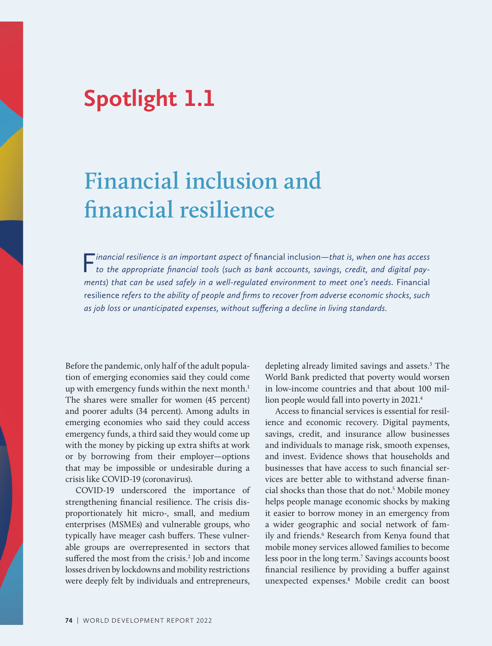## **Spotlight 1.1**

## **Financial inclusion and financial resilience**

F*inancial resilience is an important aspect of* financial inclusion*—that is, when one has access to the appropriate financial tools (such as bank accounts, savings, credit, and digital payments)* that can be used safely in a well-regulated environment to meet one's needs. Financial resilience *refers to the ability of people and firms to recover from adverse economic shocks, such as job loss or unanticipated expenses, without suffering a decline in living standards.*

Before the pandemic, only half of the adult population of emerging economies said they could come up with emergency funds within the next month.<sup>1</sup> The shares were smaller for women (45 percent) and poorer adults (34 percent). Among adults in emerging economies who said they could access emergency funds, a third said they would come up with the money by picking up extra shifts at work or by borrowing from their employer—options that may be impossible or undesirable during a crisis like COVID-19 (coronavirus).

COVID-19 underscored the importance of strengthening financial resilience. The crisis disproportionately hit micro-, small, and medium enterprises (MSMEs) and vulnerable groups, who typically have meager cash buffers. These vulnerable groups are overrepresented in sectors that suffered the most from the crisis.<sup>2</sup> Job and income losses driven by lockdowns and mobility restrictions were deeply felt by individuals and entrepreneurs,

depleting already limited savings and assets.<sup>3</sup> The World Bank predicted that poverty would worsen in low-income countries and that about 100 million people would fall into poverty in 2021.4

Access to financial services is essential for resilience and economic recovery. Digital payments, savings, credit, and insurance allow businesses and individuals to manage risk, smooth expenses, and invest. Evidence shows that households and businesses that have access to such financial services are better able to withstand adverse financial shocks than those that do not.<sup>5</sup> Mobile money helps people manage economic shocks by making it easier to borrow money in an emergency from a wider geographic and social network of family and friends.<sup>6</sup> Research from Kenya found that mobile money services allowed families to become less poor in the long term.<sup>7</sup> Savings accounts boost financial resilience by providing a buffer against unexpected expenses.8 Mobile credit can boost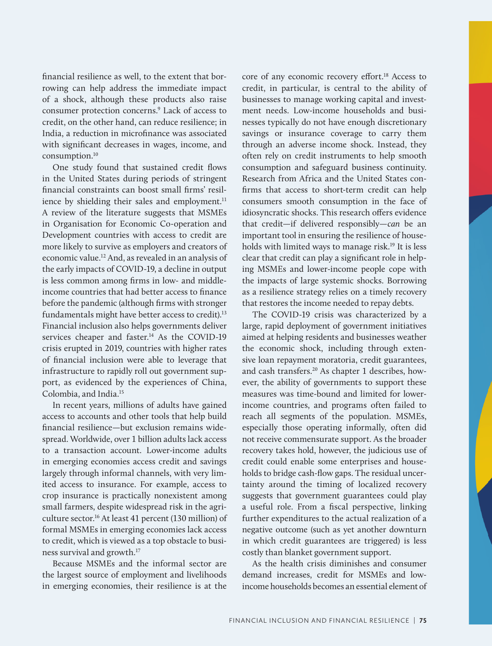financial resilience as well, to the extent that borrowing can help address the immediate impact of a shock, although these products also raise consumer protection concerns.<sup>9</sup> Lack of access to credit, on the other hand, can reduce resilience; in India, a reduction in microfinance was associated with significant decreases in wages, income, and consumption.10

One study found that sustained credit flows in the United States during periods of stringent financial constraints can boost small firms' resilience by shielding their sales and employment.<sup>11</sup> A review of the literature suggests that MSMEs in Organisation for Economic Co-operation and Development countries with access to credit are more likely to survive as employers and creators of economic value.12 And, as revealed in an analysis of the early impacts of COVID-19, a decline in output is less common among firms in low- and middleincome countries that had better access to finance before the pandemic (although firms with stronger fundamentals might have better access to credit).<sup>13</sup> Financial inclusion also helps governments deliver services cheaper and faster.<sup>14</sup> As the COVID-19 crisis erupted in 2019, countries with higher rates of financial inclusion were able to leverage that infrastructure to rapidly roll out government support, as evidenced by the experiences of China, Colombia, and India.15

In recent years, millions of adults have gained access to accounts and other tools that help build financial resilience—but exclusion remains widespread. Worldwide, over 1 billion adults lack access to a transaction account. Lower-income adults in emerging economies access credit and savings largely through informal channels, with very limited access to insurance. For example, access to crop insurance is practically nonexistent among small farmers, despite widespread risk in the agriculture sector.<sup>16</sup> At least 41 percent (130 million) of formal MSMEs in emerging economies lack access to credit, which is viewed as a top obstacle to business survival and growth.17

Because MSMEs and the informal sector are the largest source of employment and livelihoods in emerging economies, their resilience is at the

core of any economic recovery effort.<sup>18</sup> Access to credit, in particular, is central to the ability of businesses to manage working capital and investment needs. Low-income households and businesses typically do not have enough discretionary savings or insurance coverage to carry them through an adverse income shock. Instead, they often rely on credit instruments to help smooth consumption and safeguard business continuity. Research from Africa and the United States confirms that access to short-term credit can help consumers smooth consumption in the face of idiosyncratic shocks. This research offers evidence that credit—if delivered responsibly—*can* be an important tool in ensuring the resilience of households with limited ways to manage risk.<sup>19</sup> It is less clear that credit can play a significant role in helping MSMEs and lower-income people cope with the impacts of large systemic shocks. Borrowing as a resilience strategy relies on a timely recovery that restores the income needed to repay debts.

The COVID-19 crisis was characterized by a large, rapid deployment of government initiatives aimed at helping residents and businesses weather the economic shock, including through extensive loan repayment moratoria, credit guarantees, and cash transfers.20 As chapter 1 describes, however, the ability of governments to support these measures was time-bound and limited for lowerincome countries, and programs often failed to reach all segments of the population. MSMEs, especially those operating informally, often did not receive commensurate support. As the broader recovery takes hold, however, the judicious use of credit could enable some enterprises and households to bridge cash-flow gaps. The residual uncertainty around the timing of localized recovery suggests that government guarantees could play a useful role. From a fiscal perspective, linking further expenditures to the actual realization of a negative outcome (such as yet another downturn in which credit guarantees are triggered) is less costly than blanket government support.

As the health crisis diminishes and consumer demand increases, credit for MSMEs and lowincome households becomes an essential element of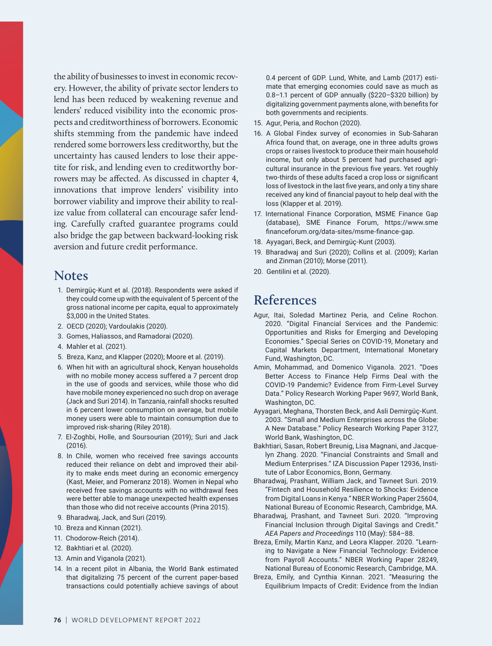the ability of businesses to invest in economic recovery. However, the ability of private sector lenders to lend has been reduced by weakening revenue and lenders' reduced visibility into the economic prospects and creditworthiness of borrowers. Economic shifts stemming from the pandemic have indeed rendered some borrowers less creditworthy, but the uncertainty has caused lenders to lose their appetite for risk, and lending even to creditworthy borrowers may be affected. As discussed in chapter 4, innovations that improve lenders' visibility into borrower viability and improve their ability to realize value from collateral can encourage safer lending. Carefully crafted guarantee programs could also bridge the gap between backward-looking risk aversion and future credit performance.

## **Notes**

- 1. Demirgüç-Kunt et al. (2018). Respondents were asked if they could come up with the equivalent of 5 percent of the gross national income per capita, equal to approximately \$3,000 in the United States.
- 2. OECD (2020); Vardoulakis (2020).
- 3. Gomes, Haliassos, and Ramadorai (2020).
- 4. Mahler et al. (2021).
- 5. Breza, Kanz, and Klapper (2020); Moore et al. (2019).
- 6. When hit with an agricultural shock, Kenyan households with no mobile money access suffered a 7 percent drop in the use of goods and services, while those who did have mobile money experienced no such drop on average (Jack and Suri 2014). In Tanzania, rainfall shocks resulted in 6 percent lower consumption on average, but mobile money users were able to maintain consumption due to improved risk-sharing (Riley 2018).
- 7. El-Zoghbi, Holle, and Soursourian (2019); Suri and Jack (2016).
- 8. In Chile, women who received free savings accounts reduced their reliance on debt and improved their ability to make ends meet during an economic emergency (Kast, Meier, and Pomeranz 2018). Women in Nepal who received free savings accounts with no withdrawal fees were better able to manage unexpected health expenses than those who did not receive accounts (Prina 2015).
- 9. Bharadwaj, Jack, and Suri (2019).
- 10. Breza and Kinnan (2021).
- 11. Chodorow-Reich (2014).
- 12. Bakhtiari et al. (2020).
- 13. Amin and Viganola (2021).
- 14. In a recent pilot in Albania, the World Bank estimated that digitalizing 75 percent of the current paper-based transactions could potentially achieve savings of about

0.4 percent of GDP. Lund, White, and Lamb (2017) estimate that emerging economies could save as much as 0.8–1.1 percent of GDP annually (\$220–\$320 billion) by digitalizing government payments alone, with benefits for both governments and recipients.

- 15. Agur, Peria, and Rochon (2020).
- 16. A Global Findex survey of economies in Sub-Saharan Africa found that, on average, one in three adults grows crops or raises livestock to produce their main household income, but only about 5 percent had purchased agricultural insurance in the previous five years. Yet roughly two-thirds of these adults faced a crop loss or significant loss of livestock in the last five years, and only a tiny share received any kind of financial payout to help deal with the loss (Klapper et al. 2019).
- 17. International Finance Corporation, MSME Finance Gap (database), SME Finance Forum, https://www.sme financeforum.org/data-sites/msme-finance-gap.
- 18. Ayyagari, Beck, and Demirgüç-Kunt (2003).
- 19. Bharadwaj and Suri (2020); Collins et al. (2009); Karlan and Zinman (2010); Morse (2011).
- 20. Gentilini et al. (2020).

## **References**

- Agur, Itai, Soledad Martinez Peria, and Celine Rochon. 2020. "Digital Financial Services and the Pandemic: Opportunities and Risks for Emerging and Developing Economies." Special Series on COVID-19, Monetary and Capital Markets Department, International Monetary Fund, Washington, DC.
- Amin, Mohammad, and Domenico Viganola. 2021. "Does Better Access to Finance Help Firms Deal with the COVID-19 Pandemic? Evidence from Firm-Level Survey Data." Policy Research Working Paper 9697, World Bank, Washington, DC.
- Ayyagari, Meghana, Thorsten Beck, and Asli Demirgüç-Kunt. 2003. "Small and Medium Enterprises across the Globe: A New Database." Policy Research Working Paper 3127, World Bank, Washington, DC.
- Bakhtiari, Sasan, Robert Breunig, Lisa Magnani, and Jacquelyn Zhang. 2020. "Financial Constraints and Small and Medium Enterprises." IZA Discussion Paper 12936, Institute of Labor Economics, Bonn, Germany.
- Bharadwaj, Prashant, William Jack, and Tavneet Suri. 2019. "Fintech and Household Resilience to Shocks: Evidence from Digital Loans in Kenya." NBER Working Paper 25604, National Bureau of Economic Research, Cambridge, MA.
- Bharadwaj, Prashant, and Tavneet Suri. 2020. "Improving Financial Inclusion through Digital Savings and Credit." *AEA Papers and Proceedings* 110 (May): 584–88.
- Breza, Emily, Martin Kanz, and Leora Klapper. 2020. "Learning to Navigate a New Financial Technology: Evidence from Payroll Accounts." NBER Working Paper 28249, National Bureau of Economic Research, Cambridge, MA.
- Breza, Emily, and Cynthia Kinnan. 2021. "Measuring the Equilibrium Impacts of Credit: Evidence from the Indian